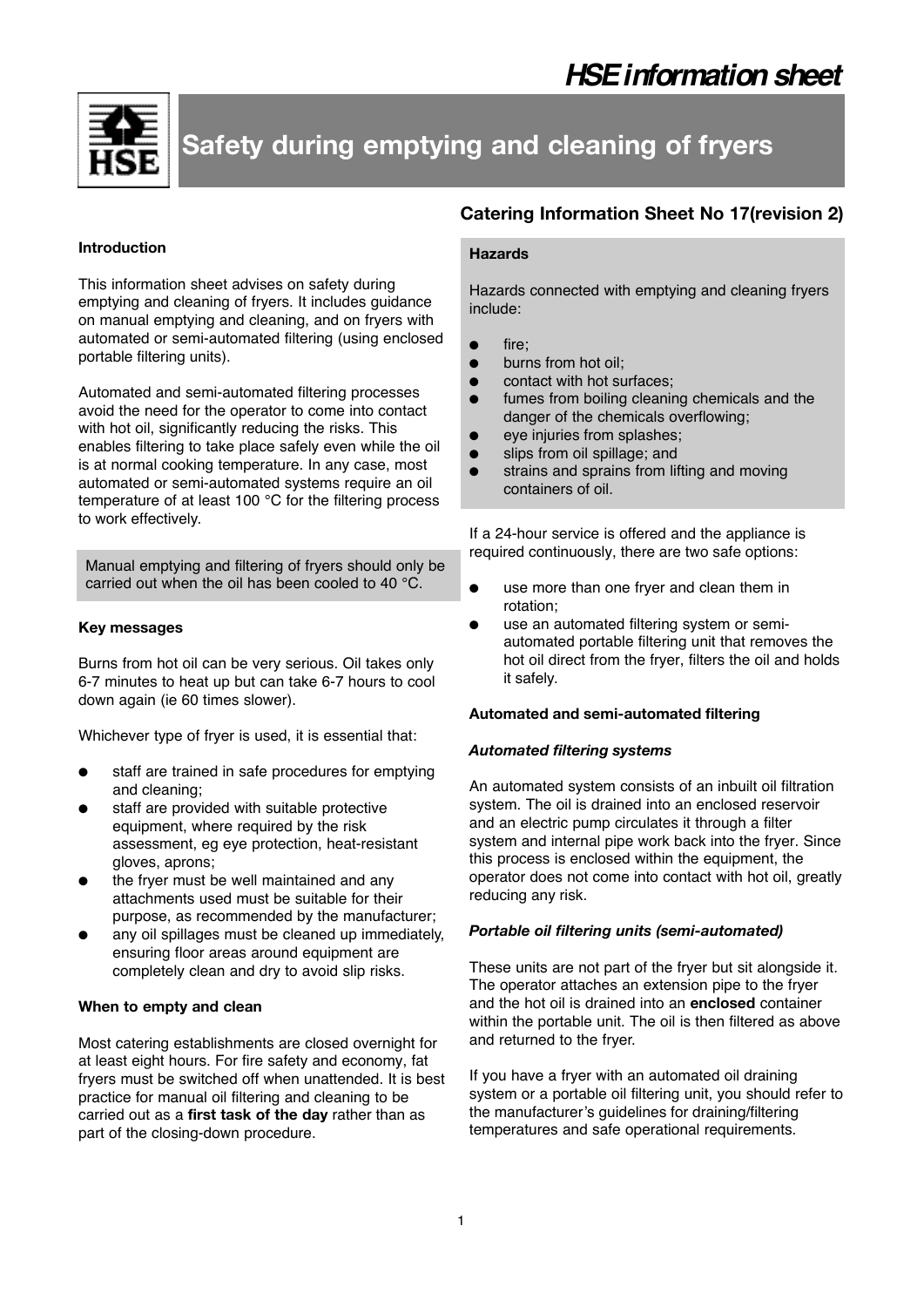

# **Safety during emptying and cleaning of fryers**

#### **Introduction**

This information sheet advises on safety during emptying and cleaning of fryers. It includes guidance on manual emptying and cleaning, and on fryers with automated or semi-automated filtering (using enclosed portable filtering units).

Automated and semi-automated filtering processes avoid the need for the operator to come into contact with hot oil, significantly reducing the risks. This enables filtering to take place safely even while the oil is at normal cooking temperature. In any case, most automated or semi-automated systems require an oil temperature of at least 100 °C for the filtering process to work effectively.

Manual emptying and filtering of fryers should only be carried out when the oil has been cooled to 40 °C.

#### **Key messages**

Burns from hot oil can be very serious. Oil takes only 6-7 minutes to heat up but can take 6-7 hours to cool down again (ie 60 times slower).

Whichever type of fryer is used, it is essential that:

- staff are trained in safe procedures for emptying and cleaning;
- staff are provided with suitable protective equipment, where required by the risk assessment, eg eye protection, heat-resistant gloves, aprons;
- the frver must be well maintained and any attachments used must be suitable for their purpose, as recommended by the manufacturer;
- any oil spillages must be cleaned up immediately, ensuring floor areas around equipment are completely clean and dry to avoid slip risks.

## **When to empty and clean**

Most catering establishments are closed overnight for at least eight hours. For fire safety and economy, fat fryers must be switched off when unattended. It is best practice for manual oil filtering and cleaning to be carried out as a **first task of the day** rather than as part of the closing-down procedure.

## **Catering Information Sheet No 17(revision 2)**

## **Hazards**

Hazards connected with emptying and cleaning fryers include:

- fire;
- burns from hot oil:
- contact with hot surfaces;
- fumes from boiling cleaning chemicals and the danger of the chemicals overflowing;
- eye injuries from splashes;
- slips from oil spillage; and
- strains and sprains from lifting and moving containers of oil.

If a 24-hour service is offered and the appliance is required continuously, there are two safe options:

- use more than one fryer and clean them in rotation;
- use an automated filtering system or semiautomated portable filtering unit that removes the hot oil direct from the fryer, filters the oil and holds it safely.

#### **Automated and semi-automated filtering**

#### *Automated filtering systems*

An automated system consists of an inbuilt oil filtration system. The oil is drained into an enclosed reservoir and an electric pump circulates it through a filter system and internal pipe work back into the fryer. Since this process is enclosed within the equipment, the operator does not come into contact with hot oil, greatly reducing any risk.

#### *Portable oil filtering units (semi-automated)*

These units are not part of the fryer but sit alongside it. The operator attaches an extension pipe to the fryer and the hot oil is drained into an **enclosed** container within the portable unit. The oil is then filtered as above and returned to the fryer.

If you have a fryer with an automated oil draining system or a portable oil filtering unit, you should refer to the manufacturer's guidelines for draining/filtering temperatures and safe operational requirements.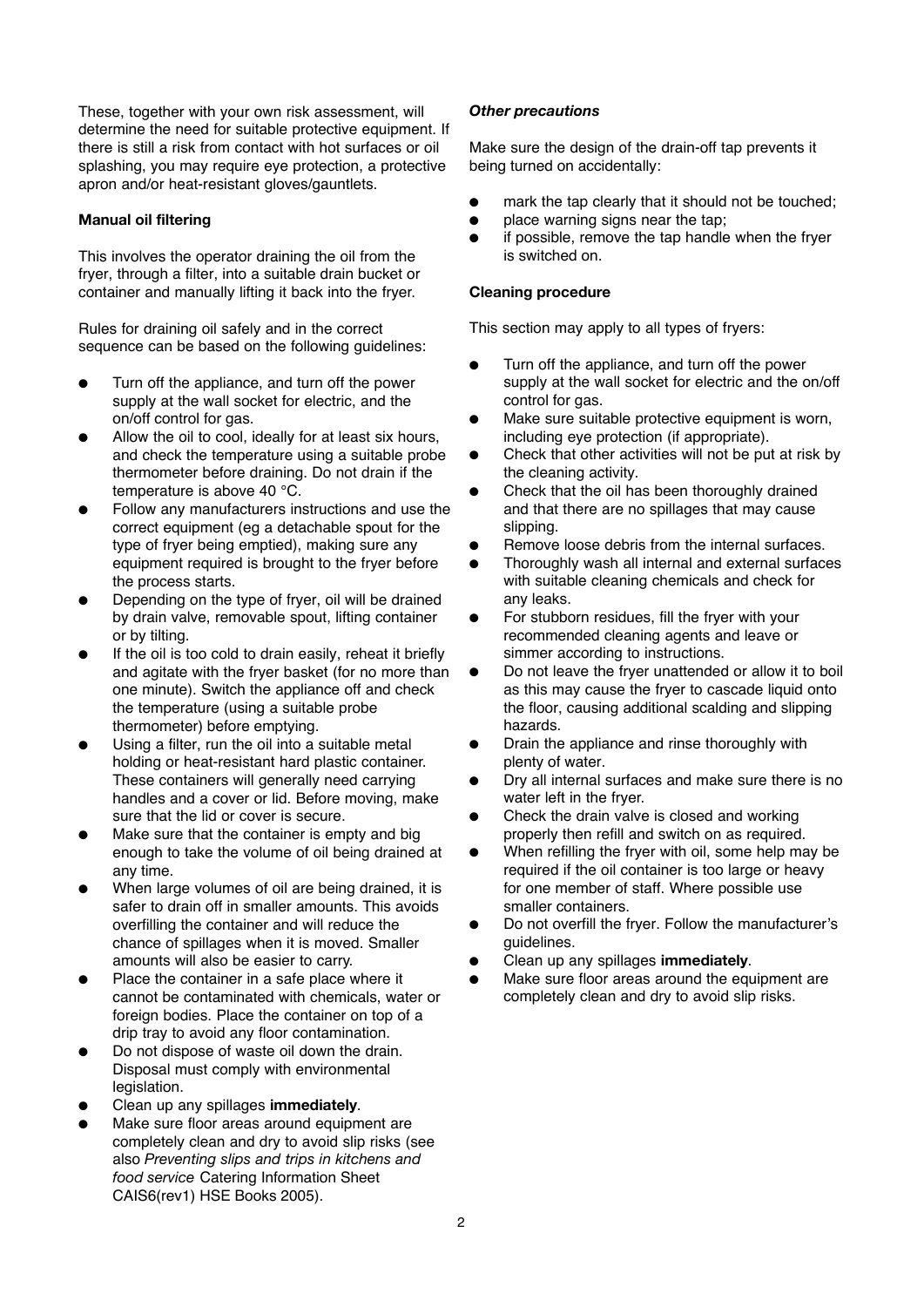These, together with your own risk assessment, will determine the need for suitable protective equipment. If there is still a risk from contact with hot surfaces or oil splashing, you may require eye protection, a protective apron and/or heat-resistant gloves/gauntlets.

## **Manual oil filtering**

This involves the operator draining the oil from the fryer, through a filter, into a suitable drain bucket or container and manually lifting it back into the fryer.

Rules for draining oil safely and in the correct sequence can be based on the following guidelines:

- Turn off the appliance, and turn off the power supply at the wall socket for electric, and the on/off control for gas.
- Allow the oil to cool, ideally for at least six hours, and check the temperature using a suitable probe thermometer before draining. Do not drain if the temperature is above 40 °C.
- Follow any manufacturers instructions and use the correct equipment (eg a detachable spout for the type of fryer being emptied), making sure any equipment required is brought to the fryer before the process starts.
- Depending on the type of fryer, oil will be drained by drain valve, removable spout, lifting container or by tilting.
- If the oil is too cold to drain easily, reheat it briefly and agitate with the fryer basket (for no more than one minute). Switch the appliance off and check the temperature (using a suitable probe thermometer) before emptying.
- Using a filter, run the oil into a suitable metal holding or heat-resistant hard plastic container. These containers will generally need carrying handles and a cover or lid. Before moving, make sure that the lid or cover is secure.
- Make sure that the container is empty and big enough to take the volume of oil being drained at any time.
- When large volumes of oil are being drained, it is safer to drain off in smaller amounts. This avoids overfilling the container and will reduce the chance of spillages when it is moved. Smaller amounts will also be easier to carry.
- Place the container in a safe place where it cannot be contaminated with chemicals, water or foreign bodies. Place the container on top of a drip tray to avoid any floor contamination.
- Do not dispose of waste oil down the drain. Disposal must comply with environmental legislation.
- Clean up any spillages **immediately**.
- Make sure floor areas around equipment are completely clean and dry to avoid slip risks (see also *Preventing slips and trips in kitchens and food service* Catering Information Sheet CAIS6(rev1) HSE Books 2005).

## *Other precautions*

Make sure the design of the drain-off tap prevents it being turned on accidentally:

- mark the tap clearly that it should not be touched;
- place warning signs near the tap;
- if possible, remove the tap handle when the fryer is switched on.

#### **Cleaning procedure**

This section may apply to all types of fryers:

- Turn off the appliance, and turn off the power supply at the wall socket for electric and the on/off control for gas.
- Make sure suitable protective equipment is worn, including eye protection (if appropriate).
- Check that other activities will not be put at risk by the cleaning activity.
- Check that the oil has been thoroughly drained and that there are no spillages that may cause slipping.
- Remove loose debris from the internal surfaces.
- Thoroughly wash all internal and external surfaces with suitable cleaning chemicals and check for any leaks.
- For stubborn residues, fill the fryer with your recommended cleaning agents and leave or simmer according to instructions.
- Do not leave the fryer unattended or allow it to boil as this may cause the fryer to cascade liquid onto the floor, causing additional scalding and slipping hazards.
- Drain the appliance and rinse thoroughly with plenty of water.
- Dry all internal surfaces and make sure there is no water left in the fryer.
- Check the drain valve is closed and working properly then refill and switch on as required.
- When refilling the fryer with oil, some help may be required if the oil container is too large or heavy for one member of staff. Where possible use smaller containers.
- Do not overfill the fryer. Follow the manufacturer's guidelines.
- Clean up any spillages **immediately**.
- Make sure floor areas around the equipment are completely clean and dry to avoid slip risks.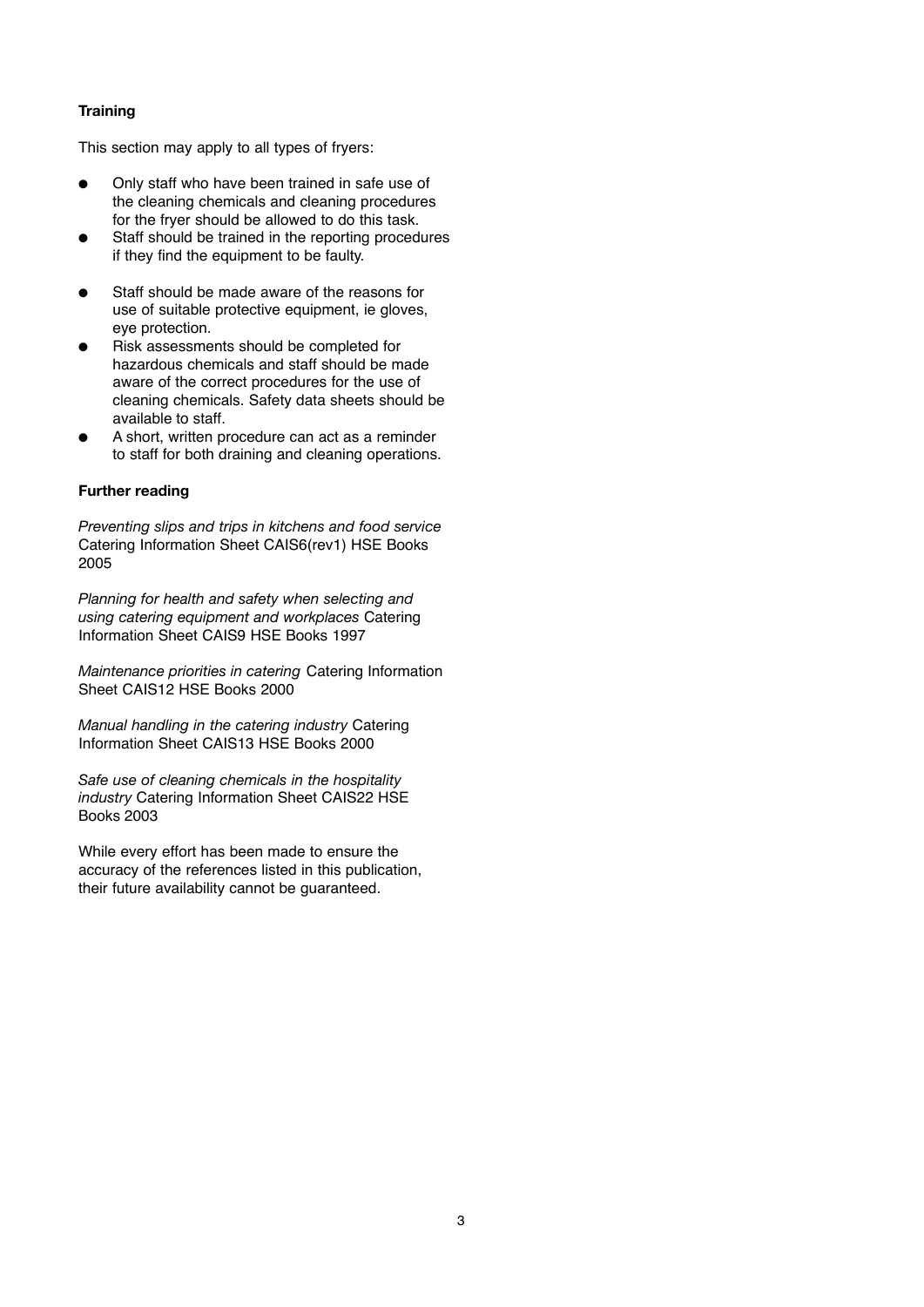## **Training**

This section may apply to all types of fryers:

- Only staff who have been trained in safe use of the cleaning chemicals and cleaning procedures for the fryer should be allowed to do this task.
- Staff should be trained in the reporting procedures if they find the equipment to be faulty.
- Staff should be made aware of the reasons for use of suitable protective equipment, ie gloves, eye protection.
- Risk assessments should be completed for hazardous chemicals and staff should be made aware of the correct procedures for the use of cleaning chemicals. Safety data sheets should be available to staff.
- A short, written procedure can act as a reminder to staff for both draining and cleaning operations.

#### **Further reading**

*Preventing slips and trips in kitchens and food service* Catering Information Sheet CAIS6(rev1) HSE Books 2005

*Planning for health and safety when selecting and using catering equipment and workplaces* Catering Information Sheet CAIS9 HSE Books 1997

*Maintenance priorities in catering* Catering Information Sheet CAIS12 HSE Books 2000

*Manual handling in the catering industry* Catering Information Sheet CAIS13 HSE Books 2000

*Safe use of cleaning chemicals in the hospitality industry* Catering Information Sheet CAIS22 HSE Books 2003

While every effort has been made to ensure the accuracy of the references listed in this publication, their future availability cannot be guaranteed.